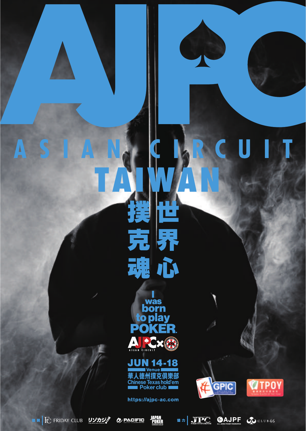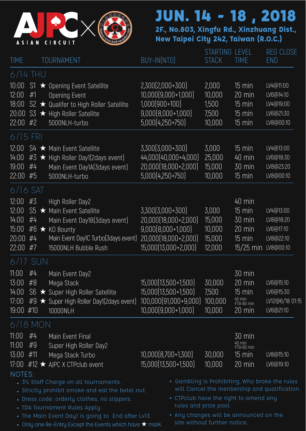

**2F., No.803, Xingfu Rd., Xinzhuang Dist., New Taipei City 242, Taiwan (R.O.C.)**

| <b>TIME</b>                                             |                | <b>TOURNAMENT</b>                                                                                                                                                                                                                                                                                | BUY-IN(NTD)                                                                                                       | STARTING LEVEL<br><b>STACK</b>                        | <b>TIME</b>                                                                                  | <b>REG CLOSE</b><br><b>END</b>                                                                  |
|---------------------------------------------------------|----------------|--------------------------------------------------------------------------------------------------------------------------------------------------------------------------------------------------------------------------------------------------------------------------------------------------|-------------------------------------------------------------------------------------------------------------------|-------------------------------------------------------|----------------------------------------------------------------------------------------------|-------------------------------------------------------------------------------------------------|
|                                                         | 6/14 Thu       |                                                                                                                                                                                                                                                                                                  |                                                                                                                   |                                                       |                                                                                              |                                                                                                 |
| 10:00<br>12:00<br>18:00<br>20:00<br>22:00 #2            | #1             | S1 ★ Opening Event Satellite<br>Opening Event<br>S2 ★ Qualifer to High Roller Satellite<br>S3 ★ High Roller Satellite<br>5000NLH-turbo                                                                                                                                                           | 2,300(2,000+300)<br>10,000(9,000+1,000)<br>1,000(900+100)<br>$9,000[8,000+1,000]$<br>5,000(4,250+750)             | 2,000<br>10.000<br>1,500<br>7,500<br>10,000           | 15 min<br>20 min<br>15 min<br>15 min<br>15 min                                               | LV4@11:00<br>LV6@14:10<br>LV4@19:00<br>LV6@21:30<br>LV8@00:10                                   |
| 6/15 FRI                                                |                |                                                                                                                                                                                                                                                                                                  |                                                                                                                   |                                                       |                                                                                              |                                                                                                 |
| 12:00<br>14:00<br>19:00<br>22:00 #5                     | #4             | S4 ★ Main Event Satellite<br>#3 ★ High Roller Day1(2days event)<br>Main Event Day1A(3days event)<br>5000NLH-turbo                                                                                                                                                                                | 3.300(3.000+300)<br>44.000(40.000+4.000)<br>20,000(18,000+2,000)<br>5,000(4,250+750)                              | 3,000<br>25,000<br>15,000<br>10,000                   | 15 min<br>40 min<br>30 min<br>15 min                                                         | LV4@13:00<br>LV6@18:30<br>LV8@23:20<br>LV8@00:10                                                |
| 6/16 SAT                                                |                |                                                                                                                                                                                                                                                                                                  |                                                                                                                   |                                                       |                                                                                              |                                                                                                 |
| 12:00<br>12:00<br>14:00<br>15:00<br>20:00<br>$22:00$ #7 | #3<br>#4<br>#4 | High Roller Day2<br>S5 ★ Main Event Satellite<br>Main Event Day1B(3days event)<br>#6 ★ KO Bounty<br>Main Event Day1C Turbo(3days event)<br>15000NLH Bubble Rush                                                                                                                                  | 3,300(3,000+300)<br>20,000(18,000+2,000)<br>$9,000[8,000+1,000]$<br>20,000(18,000+2,000)<br>15,000 [13,000+2,000] | 3,000<br>15,000<br>10,000<br>15,000<br>12,000         | 40 min<br>$15 \overline{min}$<br>30 min<br>20 min<br>$15 \text{ min}$<br>15/25 min LV8@00:10 | LV4@13:00<br>LV8@18:20<br>LV6@17:10<br>LV8@22:10                                                |
|                                                         | 6/17 SUN       |                                                                                                                                                                                                                                                                                                  |                                                                                                                   |                                                       |                                                                                              |                                                                                                 |
| 11:00<br>13:00<br>14:00<br>17:00<br>19:00 #10           | #4<br>#8       | Main Event Day2<br>Mega Stack<br>S6 ★ Super High Roller Satellite<br>#9 ★ Super High Roller Day1(2days event)<br>10000NLH                                                                                                                                                                        | 15,000 (13,500+1,500)<br>15,000 [13,500+1,500]<br>100,000(91,000+9,000)<br>10,000(9,000+1,000)                    | 30,000<br>7,500<br>100,000<br>10,000                  | 30 min<br>20 min<br>15 min<br>40 min<br>FT9-60 min<br>20 min                                 | LV6@15:10<br>LV6@15:30<br>LV12@6/18 01:15<br>LV6@21:10                                          |
|                                                         | 6/18 MON       |                                                                                                                                                                                                                                                                                                  |                                                                                                                   |                                                       |                                                                                              |                                                                                                 |
| 11:00<br>11:00<br>13:00 #11                             | #4<br>#9       | Main Event Final<br>Super High Roller Day2<br>Mega Stack Turbo<br>17:00 #12 ★ AJPC X CTPclub event                                                                                                                                                                                               | 10,000(8,700+1,300)<br>15,000 [13,500+1,500]                                                                      | 30,000<br>10,000                                      | 30 min<br>40 min<br>FT9-60 min<br>15 min<br>20 min                                           | LV8@15:10<br>LV6@19:10                                                                          |
| NOTES:                                                  |                | . 3% Staff Charge on all tournaments.<br>• Strictly prohibit smoke and eat the betel nut.<br>• Dress code: orderly clothes, no slippers.<br>• TDA Tournament Rules Apply.<br>• The Main Event Dayl is going to End after Lv13.<br>• Only one Re-Entry Except the Events which have $\star$ mark. | • CTPclub have the right to amend any<br>• Any changes will be announced on the                                   | rules and prize pool.<br>site without further notice. |                                                                                              | • Gambling is Prohibiting, Who broke the rules<br>will Cancel the menbership and qualification. |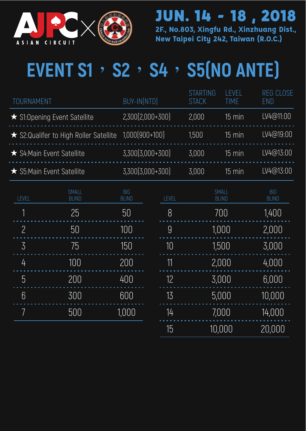

**2F., No.803, Xingfu Rd., Xinzhuang Dist.,**  JUN. 14 - 18 , 2018

**New Taipei City 242, Taiwan (R.O.C.)**

# **EVENT S1**,**S2**,**S4**,**S5(NO ANTE)**

| TOURNAMENT                                            | BUY-IN(NTD)        | <b>STARTING</b><br><b>STACK</b> | <b>I FVFI</b><br>TIMF. | REG CLOSE<br>END |
|-------------------------------------------------------|--------------------|---------------------------------|------------------------|------------------|
| ★ S1:Opening Event Satellite                          | $2,300[2,000+300]$ | 2.000                           | 15 min                 | LV4@11:00        |
| ★ S2:Qualifer to High Roller Satellite 1,000(900+100) |                    | 1.500                           | 15 min                 | LV4@19:00        |
| ★ S4:Main Event Satellite                             | 3.300(3.000+300)   | 3.000                           | $15 \text{ min}$       | LV4@13:00        |
| ★ S5:Main Event Satellite                             | 3,300(3,000+300)   | 3.000                           | 15 min                 | LV4@13:00        |

| LEVEL | SMALL<br><b>BLIND</b> | <b>BIG</b><br><b>BLIND</b> | LEVEL | SMALL<br><b>BLIND</b> | <b>BIG</b><br><b>BLIND</b> |
|-------|-----------------------|----------------------------|-------|-----------------------|----------------------------|
| 1     | 25                    | 50                         | 8     | 700                   | 1,400                      |
| 2     | 50                    | 100                        | 9     | 1,000                 | 2,000                      |
| 3     | 75                    | 150                        | 10    | 1,500                 | 3,000                      |
| 4     | 100                   | 200                        | 11    | 2,000                 | 4,000                      |
| 5     | 200                   | 400                        | 12    | 3,000                 | 6,000                      |
| 6     | 300                   | 600                        | 13    | 5,000                 | 10,000                     |
|       | 500                   | 1,000                      | 14    | 7,000                 | 14,000                     |
|       |                       |                            | 15    | 10,000                | 20,000                     |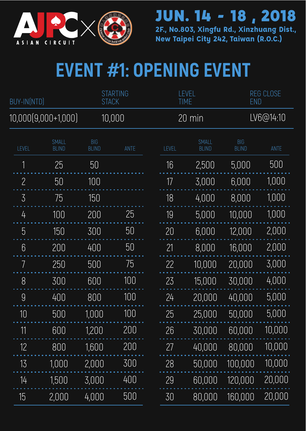

**2F., No.803, Xingfu Rd., Xinzhuang Dist., New Taipei City 242, Taiwan (R.O.C.)**

# **EVENT #1: OPENING EVENT**

| BUY-IN(NTD)     |                       | <b>STACK</b>               | <b>STARTING</b> |       | LEVEL<br><b>TIME</b>         | <b>END</b>                 | <b>REG CLOSE</b> |
|-----------------|-----------------------|----------------------------|-----------------|-------|------------------------------|----------------------------|------------------|
|                 | 10,000(9,000+1,000)   |                            | 10,000          |       | 20 min                       |                            | LV6@14:10        |
| LEVEL           | SMALL<br><b>BLIND</b> | <b>BIG</b><br><b>BLIND</b> | ANTE            | LEVEL | <b>SMALL</b><br><b>BLIND</b> | <b>BIG</b><br><b>BLIND</b> | ANTE             |
| 1               | 25                    | 50                         |                 | 16    | 2,500                        | 5,000                      | 500              |
| $\overline{c}$  | 50                    | 100                        |                 | 17    | 3,000                        | 6,000                      | 1,000            |
| 3               | 75                    | 150                        |                 | 18    | 4,000                        | 8,000                      | 1,000            |
| 4               | 100                   | 200                        | 25              | 19    | 5,000                        | 10,000                     | 1,000            |
| 5               | 150                   | 300                        | 50              | 20    | 6,000                        | 12,000                     | 2,000            |
| $6\phantom{.}6$ | 200                   | 400                        | 50              | 21    | 8,000                        | 16,000                     | 2,000            |
| 7               | 250                   | 500                        | 75              | 22    | 10,000                       | 20,000                     | 3,000            |
| 8               | 300                   | 600                        | 100             | 23    | 15,000                       | 30,000                     | 4,000            |
| 9               | 400                   | 800                        | 100             | 24    | 20,000                       | 40,000                     | 5,000            |
| 10              | 500                   | 1,000                      | 100             | 25    | 25,000                       | 50,000                     | 5,000            |
| 11              | 600                   | 1,200                      | 200             | 26    | 30,000                       | 60,000                     | 10,000           |
| 12              | 800                   | 1,600                      | 200             | 27    | 40,000                       | 80,000                     | 10,000           |
| 13              | 1,000                 | 2,000                      | 300             | 28    | 50,000                       | 100,000                    | 10,000           |
| 14              | 1,500                 | 3,000                      | 400             | 29    | 60,000                       | 120,000                    | 20,000           |
| 15              | 2,000                 | 4,000                      | 500             | 30    | 80,000                       | 160,000                    | 20,000           |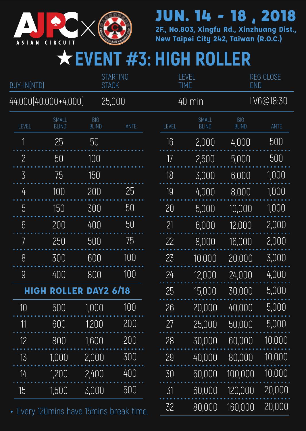

**2F., No.803, Xingfu Rd., Xinzhuang Dist., New Taipei City 242, Taiwan (R.O.C.)**

## ★**EVENT #3: HIGH ROLLER**

| <b>STARTING</b><br>BUY-IN(NTD)<br><b>STACK</b> |                       |                                         | LEVEL<br><b>TIME</b> |       | <b>REG CLOSE</b><br><b>END</b> |                              |                            |        |
|------------------------------------------------|-----------------------|-----------------------------------------|----------------------|-------|--------------------------------|------------------------------|----------------------------|--------|
| 44,000(40,000+4,000)                           |                       |                                         | 25,000               |       |                                | 40 min                       | LV6@18:30                  |        |
| LEVEL                                          | SMALL<br><b>BLIND</b> | <b>BIG</b><br><b>BLIND</b>              | ANTE                 | LEVEL |                                | <b>SMALL</b><br><b>BLIND</b> | <b>BIG</b><br><b>BLIND</b> | ANTE   |
| 1                                              | 25                    | 50                                      |                      | 16    |                                | 2,000                        | 4,000                      | 500    |
| $\overline{c}$                                 | 50                    | 100                                     |                      | 17    |                                | 2,500                        | 5,000                      | 500    |
| $\overline{3}$                                 | 75                    | 150                                     |                      | 18    |                                | 3,000                        | 6,000                      | 1,000  |
| 4                                              | 100                   | 200                                     | 25                   | 19    |                                | 4,000                        | 8,000                      | 1,000  |
| 5                                              | 150                   | 300                                     | 50                   | 20    |                                | 5,000                        | 10,000                     | 1,000  |
| $6\phantom{.}6$                                | 200                   | 400                                     | 50                   | 21    |                                | 6,000                        | 12,000                     | 2,000  |
| 7                                              | 250                   | 500                                     | 75                   | 22    |                                | 8,000                        | 16,000                     | 2,000  |
| 8                                              | 300                   | 600                                     | 100                  | 23    |                                | 10,000                       | 20,000                     | 3,000  |
| 9                                              | 400                   | 800                                     | 100                  | 24    |                                | 12,000                       | 24,000                     | 4,000  |
| HIGH                                           | <b>ROLLER</b>         | <b>DAY2 6/18</b>                        |                      | 25    |                                | 15,000                       | 30,000                     | 5,000  |
| 10                                             | 500                   | 1,000                                   | 100                  | 26    |                                | 20,000                       | 40,000                     | 5,000  |
| 11                                             | 600                   | 1,200                                   | 200                  | 27    |                                | 25,000                       | 50,000                     | 5,000  |
| 12                                             | 800                   | 1,600                                   | 200                  | 28    |                                | 30,000                       | 60,000                     | 10,000 |
| 13                                             | 1,000                 | 2,000                                   | 300                  | 29    |                                | 40,000                       | 80,000                     | 10,000 |
| 14                                             | 1,200                 | 2,400                                   | 400                  | 30    |                                | 50,000                       | 100,000                    | 10,000 |
| 15                                             | 1,500                 | 3,000                                   | 500                  | 31    |                                | 60,000                       | 120,000                    | 20,000 |
|                                                |                       | Every 120 mins have 15 mins break time. |                      | 32    |                                | 80,000                       | 160,000                    | 20,000 |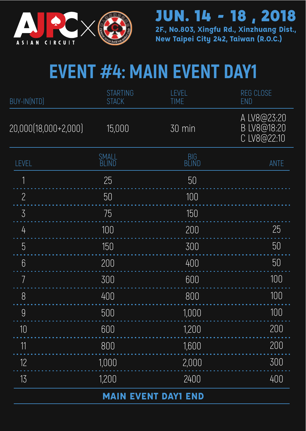

**2F., No.803, Xingfu Rd., Xinzhuang Dist., New Taipei City 242, Taiwan (R.O.C.)**

## **EVENT #4: MAIN EVENT DAY1**

| BUY-IN(NTD)          | <b>STARTING</b><br><b>STACK</b> | LEVEL<br><b>TIME</b>       | <b>REG CLOSE</b><br><b>END</b>            |
|----------------------|---------------------------------|----------------------------|-------------------------------------------|
| 20,000(18,000+2,000) | 15,000                          | 30 min                     | A LV8@23:20<br>B LV8@18:20<br>C LV8@22:10 |
| LEVEL                | SMALL<br><b>BLIND</b>           | BIG<br>BLIND               | ANTE                                      |
| 1                    | 25                              | 50                         |                                           |
| $\overline{c}$       | 50                              | 100                        |                                           |
| $\overline{3}$       | 75                              | 150                        |                                           |
| 4                    | 100                             | 200                        | 25                                        |
| 5                    | 150                             | 300                        | 50                                        |
| 6                    | 200                             | 400                        | 50                                        |
| 7                    | 300                             | 600                        | 100                                       |
| 8                    | 400                             | 800                        | 100                                       |
| $\overline{9}$       | 500                             | 1,000                      | 100                                       |
| 10                   | 600                             | 1,200                      | 200                                       |
| 11                   | 800                             | 1,600                      | 200                                       |
| 12                   | 1,000                           | 2,000                      | 300                                       |
| 13                   | 1,200                           | 2400                       | 400                                       |
|                      |                                 | <b>MAIN EVENT DAYI END</b> |                                           |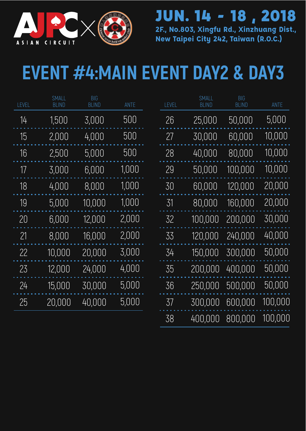

**2F., No.803, Xingfu Rd., Xinzhuang Dist., New Taipei City 242, Taiwan (R.O.C.)**



## **EVENT #4:MAIN EVENT DAY2 & DAY3**

| <b>EVEL</b> | <b>SMALL</b><br><b>BLIND</b> | <b>BIG</b><br><b>BLIND</b> | ANTE  | LEVEL | SMALL<br><b>BLIND</b> | <b>BIG</b><br><b>BLIND</b> | ANTE    |
|-------------|------------------------------|----------------------------|-------|-------|-----------------------|----------------------------|---------|
| 14          | 1,500                        | 3,000                      | 500   | 26    | 25,000                | 50,000                     | 5,000   |
| 15          | 2,000                        | 4,000                      | 500   | 27    | 30,000                | 60,000                     | 10,000  |
| 16          | 2,500                        | 5,000                      | 500   | 28    | 40,000                | 80,000                     | 10,000  |
| 17          | 3,000                        | 6,000                      | 1,000 | 29    | 50,000                | 100,000                    | 10,000  |
| 18          | 4,000                        | 8,000                      | 1,000 | 30    | 60,000                | 120,000                    | 20,000  |
| 19          | 5,000                        | 10,000                     | 1,000 | 31    | 80,000                | 160,000                    | 20,000  |
| 20          | 6,000                        | 12,000                     | 2,000 | 32    | 100,000               | 200,000                    | 30,000  |
| 21          | 8,000                        | 16,000                     | 2,000 | 33    | 120,000               | 240,000                    | 40,000  |
| 22          | 10,000                       | 20,000                     | 3,000 | 34    | 150,000               | 300,000                    | 50,000  |
| 23          | 12,000                       | 24,000                     | 4,000 | 35    | 200,000               | 400,000                    | 50,000  |
| 24          | 15,000                       | 30,000                     | 5,000 | 36    | 250,000               | 500,000                    | 50,000  |
| 25          | 20,000                       | 40,000                     | 5,000 | 37    | 300,000               | 600,000                    | 100,000 |
|             |                              |                            |       | 38    | 400,000               | 800,000                    | 100,000 |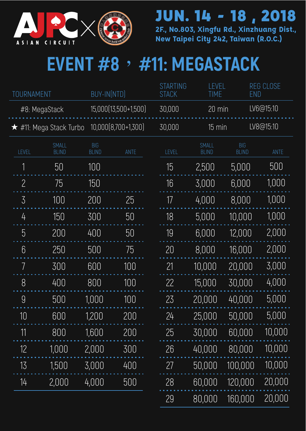

**2F., No.803, Xingfu Rd., Xinzhuang Dist., New Taipei City 242, Taiwan (R.O.C.)**

## **EVENT #8**,**#11: MEGASTACK**

| TOURNAMENT     |                               | BUY-IN(NTD)                |                      | <b>STARTING</b><br><b>STACK</b> | LEVEL<br><b>TIME</b>  | <b>END</b>                 | <b>REG CLOSE</b> |
|----------------|-------------------------------|----------------------------|----------------------|---------------------------------|-----------------------|----------------------------|------------------|
|                | #8: MegaStack                 |                            | 15,000(13,500+1,500) | 30,000                          | 20 min                |                            | LV6@15:10        |
|                | $\star$ #11: Mega Stack Turbo |                            | 10,000(8,700+1,300)  | 30,000                          | 15 min                |                            | LV8@15:10        |
| LEVEL          | SMALL<br><b>BLIND</b>         | <b>BIG</b><br><b>BLIND</b> | ANTE                 | LEVEL                           | SMALL<br><b>BLIND</b> | <b>BIG</b><br><b>BLIND</b> | ANTE             |
| 1              | 50                            | 100                        |                      | 15                              | 2,500                 | 5,000                      | 500              |
| $\overline{c}$ | 75                            | 150                        |                      | 16                              | 3,000                 | 6,000                      | 1,000            |
| 3              | 100                           | 200                        | 25                   | 17                              | 4,000                 | 8,000                      | 1,000            |
| 4              | 150                           | 300                        | 50                   | 18                              | 5,000                 | 10,000                     | 1,000            |
| 5              | 200                           | 400                        | 50                   | 19                              | 6,000                 | 12,000                     | 2,000            |
| 6              | 250                           | 500                        | 75                   | 20                              | 8,000                 | 16,000                     | 2,000            |
| 7              | 300                           | 600                        | 100                  | 21                              | 10,000                | 20,000                     | 3,000            |
| 8              | 400                           | 800                        | 100                  | 22                              | 15,000                | 30,000                     | 4,000            |
| 9              | 500                           | 1,000                      | 100                  | 23                              | 20,000                | 40,000                     | 5,000            |
| 10             | 600                           | 1,200                      | 200                  | 24                              | 25,000                | 50,000                     | 5,000            |
| 11             | 800                           | 1,600                      | 200                  | 25                              | 30,000                | 60,000                     | 10,000           |
| 12             | 1,000                         | 2,000                      | 300                  | 26                              | 40,000                | 80,000                     | 10,000           |
| 13             | 1,500                         | 3,000                      | 400                  | 27                              | 50,000                | 100,000                    | 10,000           |
| 14             | 2,000                         | 4,000                      | 500                  | 28                              | 60,000                | 120,000                    | 20,000           |
|                |                               |                            |                      | 29                              | 80,000                | 160,000                    | 20,000           |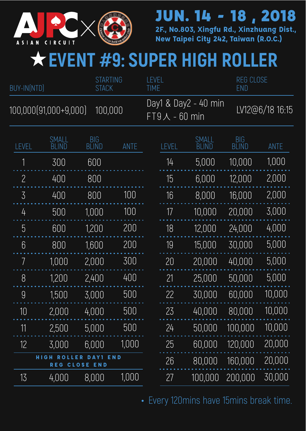

**2F., No.803, Xingfu Rd., Xinzhuang Dist., New Taipei City 242, Taiwan (R.O.C.)**

#### ★**EVENT #9: SUPER HIGH ROLLER**

| BUY-IN(NTD)    |                                             | <b>STARTING</b><br><b>STACK</b> |            | LEVEL<br><b>TIME</b>    |                      | <b>REG CLOSE</b><br>END |                 |  |
|----------------|---------------------------------------------|---------------------------------|------------|-------------------------|----------------------|-------------------------|-----------------|--|
|                | 100,000(91,000+9,000)                       | 100,000                         |            | $FT9\,\lambda - 60$ min | Day1 & Day2 - 40 min |                         | LV12@6/18 16:15 |  |
| LEVEL          | SMALL<br>BLIND                              | BIG<br>BLIND                    | ANTE       | LEVEL                   | SMALL<br>BLIND       | BIG<br>BLIND            | <b>ANTE</b>     |  |
|                | 300                                         | 600                             |            | 14                      | 5,000                | 10,000                  | 1,000           |  |
| $\overline{2}$ | 400                                         | 800                             |            | 15                      | 6,000                | 12,000                  | 2,000           |  |
| 3              | 400                                         | 800                             | 100        | 16                      | 8,000                | 16,000                  | 2,000           |  |
| 4              | 500                                         | 1,000                           | 100        | 17                      | 10,000               | 20,000                  | 3,000           |  |
| 5              | 600                                         | 1,200                           | 200        | 18                      | 12,000               | 24,000                  | 4,000           |  |
| 6              | 800                                         | 1,600                           | 200        | 19                      | 15,000               | 30,000                  | 5,000           |  |
| 7              | 1,000                                       | 2,000                           | 300        | 20                      | 20,000               | 40,000                  | 5,000           |  |
| 8              | 1,200                                       | 2,400                           | 400        | 21                      | 25,000               | 50,000                  | 5,000           |  |
| 9              | 1,500                                       | 3,000                           | 500        | 22                      | 30,000               | 60,000                  | 10,000          |  |
| 10             | 2,000                                       | 4,000                           | 500        | 23                      | 40,000               | 80,000                  | 10,000          |  |
| 11             | 2,500                                       | 5,000                           | 500        | 24                      | 50,000               | 100,000                 | 10,000          |  |
| 12             | 3,000                                       | 6.000                           | 1,000      | 25                      | 60,000               | 120,000                 | 20,000          |  |
|                | <b>HIGH</b><br>D<br>LER<br><b>REG CLOSE</b> | D<br><b>END</b>                 | <b>END</b> | 26                      | 80,000               | 160,000                 | 20,000          |  |
| 13             | 4,000                                       | 8,000                           | 1,000      | 27                      | 100,000              | 200,000                 | 30,000          |  |

Every 120mins have 15mins break time.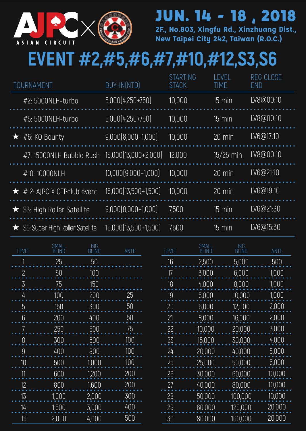

**2F., No.803, Xingfu Rd., Xinzhuang Dist., New Taipei City 242, Taiwan (R.O.C.)**

#### **EVENT #2,#5,#6,#7,#10,#12,S3,S6**

| TOURNAMENT                           | <b>BUY-INÍNTDI</b>   | <b>STARTING</b><br><b>STACK</b> | <b>I FVFI</b><br>TIME | <b>REG CLOSE</b><br>END |
|--------------------------------------|----------------------|---------------------------------|-----------------------|-------------------------|
| #2: 5000NLH-turbo                    | 5.000(4.250+750)     | 10.000                          | 15 min                | LV8@00:10               |
| #5: 5000NLH-turbo                    | 5.000(4.250+750)     | 10.000                          | $15 \text{ min}$      | LV8@00:10               |
| $\star$ #6: KO Bounty                | $9,000[8,000+1,000]$ | 10.000                          | $20 \text{ min}$      | LV6@17:10               |
| #7: 15000NLH Bubble Rush             | 15,000(13,000+2,000) | 12.000                          | $15/25$ min           | LV8@00:10               |
| #10:10000NI H                        | 10.000(9.000+1.000)  | 10.000                          | $20 \text{ min}$      | LV6@21:10               |
| $\star$ #12: AIPC X CTPclub event    | 15.000(13.500+1.500) | 10.000                          | $20 \overline{min}$   | LV6@19:10               |
| ★ S3: High Roller Satellite          | $9.000[8.000+1.000]$ | 7.500                           | 15 min                | LV6@21:30               |
| S6: Super High Roller Satellite<br>★ | 15.000(13.500+1.500) | 7.500                           | 15 min                | LV6@15:30               |

| LEVEL | SMALL<br>BLIND | BIG<br>BLIND | ANTE |
|-------|----------------|--------------|------|
| 1     | 25             | 50           |      |
| 2     | 50             | 100          |      |
| 3     | 75             | 150          |      |
| 4     | 100            | 200          | 25   |
| 5     | 150            | 300          | 50   |
| 6     | 200            | 400          | 50   |
| 7     | 250            | 500          | 75   |
| 8     | 300            | 600          | 100  |
| 9     | 400            | 800          | 100  |
| 10    | 500            | 1,000        | 100  |
| 11    | 600            | 1,200        | 200  |
| 12    | 800            | 1,600        | 200  |
| 13    | 1,000          | 2,000        | 300  |
| 14    | 1,500          | 3,000        | 400  |
| 15    | 2,000          | 4,000        | 500  |

| LEVEL | <b>SMALL</b><br>BLIND | <b>BIG</b><br>BLIÑD | ANTE   |
|-------|-----------------------|---------------------|--------|
| 16    | 2,500                 | 5,000               | 500    |
| 17    | 3,000                 | 6,000               | 1,000  |
| 18    | 4,000                 | 8.000               | 1,000  |
| 19    | 5,000                 | 10,000              | 1,000  |
| 20    | 6,000                 | 12,000              | 2,000  |
| 21    | 8.000                 | 16.000              | 2,000  |
| 22    | 10,000                | 20,000              | 3,000  |
| 23    | 15,000                | 30,000              | 4,000  |
| 24    | 20,000                | 40.000              | 5.000  |
| 25    | 25,000                | 50,000              | 5.000  |
| 26    | 30,000                | 60,000              | 10,000 |
| 27    | 40,000                | 80,000              | 10,000 |
| 28    | 50,000                | 100,000             | 10,000 |
| 29    | 60,000                | 120,000             | 20,000 |
| 30    | 80.000                | 160.000             | 20,000 |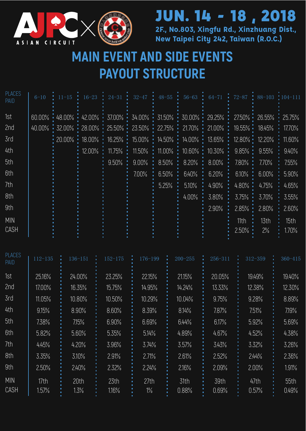

#### **2F., No.803, Xingfu Rd., Xinzhuang Dist.,**  JUN. 14 - 18 , 2018

**New Taipei City 242, Taiwan (R.O.C.)**

#### **MAIN EVENT AND SIDE EVENTS PAYOUT STRUCTURE**

| 1st<br>$60.00\%$ $\cdot$ 48.00% $\cdot$ 42.00% $\cdot$ 37.00% $\cdot$ 34.00% $\cdot$ 31.50% $\cdot$ 30.00% $\cdot$ 29.25% $\cdot$ 27.50% $\cdot$ 25.55% $\cdot$ 25.75%<br>2nd<br>$40.00\%$ : $32.00\%$ : $28.00\%$ : $25.50\%$ : $23.50\%$ : $22.75\%$ : $21.00\%$ : $19.55\%$ : $18.45\%$ : $17.70\%$<br>3rd<br>$-20.00\%$ $-18.00\%$ $-16.25\%$ $-15.00\%$ $-14.50\%$ $-14.00\%$ $-13.65\%$ $-12.80\%$ $-12.20\%$ $-11.60\%$<br>4th<br>: 12.00% : 11.75% : 11.50% : 11.00% : 10.60% : 10.30% : 9.85% : 9.55%<br>5th<br>: 9.50% : 9.00% : 8.50% : 8.20% : 8.00% · 7.80% : 7.70%<br>6th<br>$6.50\%$ :<br>6.40% : 6.20%<br>$6.10\%$ : 6.00% : 5.90%<br>700% : |               |
|--------------------------------------------------------------------------------------------------------------------------------------------------------------------------------------------------------------------------------------------------------------------------------------------------------------------------------------------------------------------------------------------------------------------------------------------------------------------------------------------------------------------------------------------------------------------------------------------------------------------------------------------------------------|---------------|
|                                                                                                                                                                                                                                                                                                                                                                                                                                                                                                                                                                                                                                                              |               |
|                                                                                                                                                                                                                                                                                                                                                                                                                                                                                                                                                                                                                                                              |               |
|                                                                                                                                                                                                                                                                                                                                                                                                                                                                                                                                                                                                                                                              |               |
|                                                                                                                                                                                                                                                                                                                                                                                                                                                                                                                                                                                                                                                              | $: 9.40\%$    |
|                                                                                                                                                                                                                                                                                                                                                                                                                                                                                                                                                                                                                                                              | 7.55%         |
|                                                                                                                                                                                                                                                                                                                                                                                                                                                                                                                                                                                                                                                              |               |
| 7th<br>$4.80\% \div 4.75\%$<br>$\div$ 4.90%<br>5.25%<br>5.10%                                                                                                                                                                                                                                                                                                                                                                                                                                                                                                                                                                                                | 4.65%         |
| 8th<br>3.75%<br>3.70%<br>4.00%<br>3.80%                                                                                                                                                                                                                                                                                                                                                                                                                                                                                                                                                                                                                      | 3.55%         |
| 9th<br>2.90%<br>2.85%<br>2.80%                                                                                                                                                                                                                                                                                                                                                                                                                                                                                                                                                                                                                               | 2.60%         |
| <b>MIN</b><br>13th<br>11th<br>CASH<br>2.50%<br>$2\%$                                                                                                                                                                                                                                                                                                                                                                                                                                                                                                                                                                                                         | 15th<br>1.70% |

| <b>PLACES</b><br><b>PAID</b> | $112 - 135$   | $136 - 151$  | $152 - 175$   | 176-199       | $200 - 255$   | 256-311       | $312 - 359$   | $360 - 415$   |
|------------------------------|---------------|--------------|---------------|---------------|---------------|---------------|---------------|---------------|
| 1st                          | 25.16%        | 24.00%       | 23.25%        | 22.15%        | 21.15%        | 20.05%        | 19.49%        | 19.40%        |
| 2nd                          | 17.00%        | 16.35%       | 15.75%        | 14.95%        | 14.24%        | 13.33%        | 12.38%        | 12.30%        |
| 3rd                          | 11.05%        | 10.80%       | 10.50%        | 10.29%        | 10.04%        | 9.75%         | 9.28%         | 8.89%         |
| 4th                          | 9.15%         | 8.90%        | 8.60%         | 8.39%         | 8.14%         | 7.87%         | 7.51%         | 7.19%         |
| 5th                          | 7.38%         | 7.15%        | 6.90%         | 6.69%         | 6.44%         | 6.17%         | 5.92%         | 5.69%         |
| 6th                          | 5.82%         | 5.60%        | 5.35%         | 5.14%         | 4.89%         | 4.67%         | 4.52%         | 4.38%         |
| 7th                          | 4.45%         | 4.20%        | 3.96%         | 3.74%         | 3.57%         | 3.43%         | 3.32%         | 3.26%         |
| 8th                          | 3.35%         | 3.10%        | 2.91%         | 2.71%         | 2.61%         | 2.52%         | 244%          | 2.36%         |
| 9th                          | 2.50%         | 2.40%        | 2.32%         | 2.24%         | 2.16%         | 2.09%         | 2.00%         | 1.91%         |
| <b>MIN</b><br>CASH           | 17th<br>1.57% | 20th<br>1.3% | 23th<br>1.16% | 27th<br>$1\%$ | 31th<br>0.88% | 39th<br>0.69% | 47th<br>0.57% | 55th<br>0.49% |
|                              |               |              |               |               |               |               |               |               |